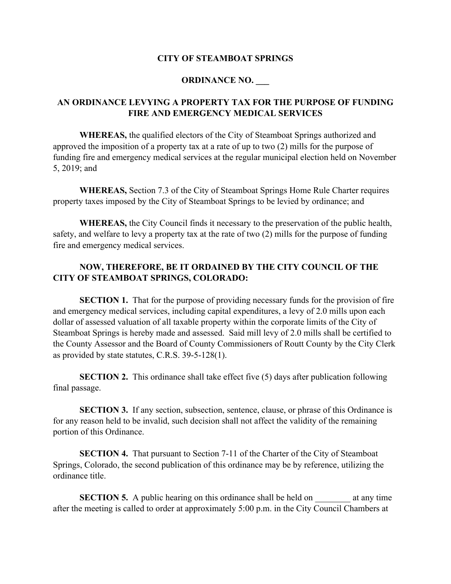## **CITY OF STEAMBOAT SPRINGS**

## **ORDINANCE NO. \_\_\_**

## **AN ORDINANCE LEVYING A PROPERTY TAX FOR THE PURPOSE OF FUNDING FIRE AND EMERGENCY MEDICAL SERVICES**

**WHEREAS,** the qualified electors of the City of Steamboat Springs authorized and approved the imposition of a property tax at a rate of up to two (2) mills for the purpose of funding fire and emergency medical services at the regular municipal election held on November 5, 2019; and

**WHEREAS,** Section 7.3 of the City of Steamboat Springs Home Rule Charter requires property taxes imposed by the City of Steamboat Springs to be levied by ordinance; and

**WHEREAS,** the City Council finds it necessary to the preservation of the public health, safety, and welfare to levy a property tax at the rate of two (2) mills for the purpose of funding fire and emergency medical services.

## **NOW, THEREFORE, BE IT ORDAINED BY THE CITY COUNCIL OF THE CITY OF STEAMBOAT SPRINGS, COLORADO:**

**SECTION 1.** That for the purpose of providing necessary funds for the provision of fire and emergency medical services, including capital expenditures, a levy of 2.0 mills upon each dollar of assessed valuation of all taxable property within the corporate limits of the City of Steamboat Springs is hereby made and assessed. Said mill levy of 2.0 mills shall be certified to the County Assessor and the Board of County Commissioners of Routt County by the City Clerk as provided by state statutes, C.R.S. 39-5-128(1).

**SECTION 2.** This ordinance shall take effect five (5) days after publication following final passage.

**SECTION 3.** If any section, subsection, sentence, clause, or phrase of this Ordinance is for any reason held to be invalid, such decision shall not affect the validity of the remaining portion of this Ordinance.

**SECTION 4.** That pursuant to Section 7-11 of the Charter of the City of Steamboat Springs, Colorado, the second publication of this ordinance may be by reference, utilizing the ordinance title.

**SECTION 5.** A public hearing on this ordinance shall be held on at any time after the meeting is called to order at approximately 5:00 p.m. in the City Council Chambers at